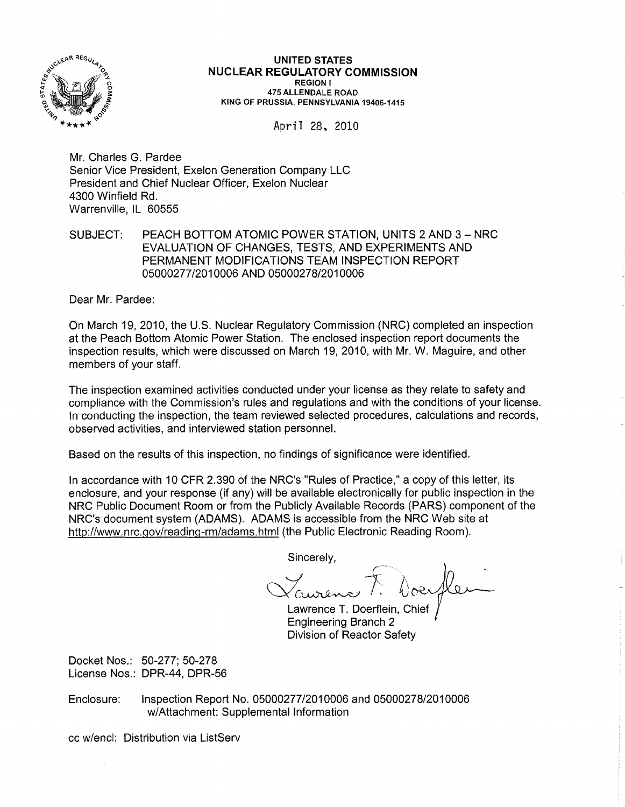

UNITED STATES NUCLEAR REGULATORY COMMISSION REGION I 475 ALLENDALE ROAD KING OF PRUSSIA, PENNSYLVANIA 19406·1415

April 28, 2010

Mr. Charles G. Pardee Senior Vice President, Exelon Generation Company LLC President and Chief Nuclear Officer, Exelon Nuclear 4300 Winfield Rd. Warrenville, IL 60555

SUBJECT: PEACH BOTTOM ATOMIC POWER STATION, UNITS 2 AND 3 - NRC EVALUATION OF CHANGES, TESTS, AND EXPERIMENTS AND PERMANENT MODIFICATIONS TEAM INSPECTION REPORT 05000277/2010006 AND 05000278/2010006

Dear Mr. Pardee:

On March 19, 2010, the U.S. Nuclear Regulatory Commission (NRC) completed an inspection at the Peach Bottom Atomic Power Station. The enclosed inspection report documents the inspection results, which were discussed on March 19, 2010, with Mr. W. Maguire, and other members of your staff.

The inspection examined activities conducted under your license as they relate to safety and compliance with the Commission's rules and regulations and with the conditions of your license. In conducting the inspection, the team reviewed selected procedures, calculations and records, observed activities, and interviewed station personnel.

Based on the results of this inspection, no findings of significance were identified.

In accordance with 10 CFR 2.390 of the NRC's "Rules of Practice," a copy of this letter, its enclosure, and your response (if any) will be available electronically for public inspection in the NRC Public Document Room or from the Publicly Available Records (PARS) component of the NRC's document system (ADAMS). ADAMS is accessible from the NRC Web site at http://www.nrc.gov/reading-rm/adams.html(the Public Electronic Reading Room).

Sincerely,

Laurence F. boerfler

Lawrence T. Doerflein, Chief Engineering Branch 2 Division of Reactor Safety

Docket Nos.: 50-277; 50-278 License Nos.: DPR-44, DPR-56

Enclosure: Inspection Report No. 05000277/2010006 and 05000278/2010006 w/Attachment: Supplemental Information

cc w/encl: Distribution via ListServ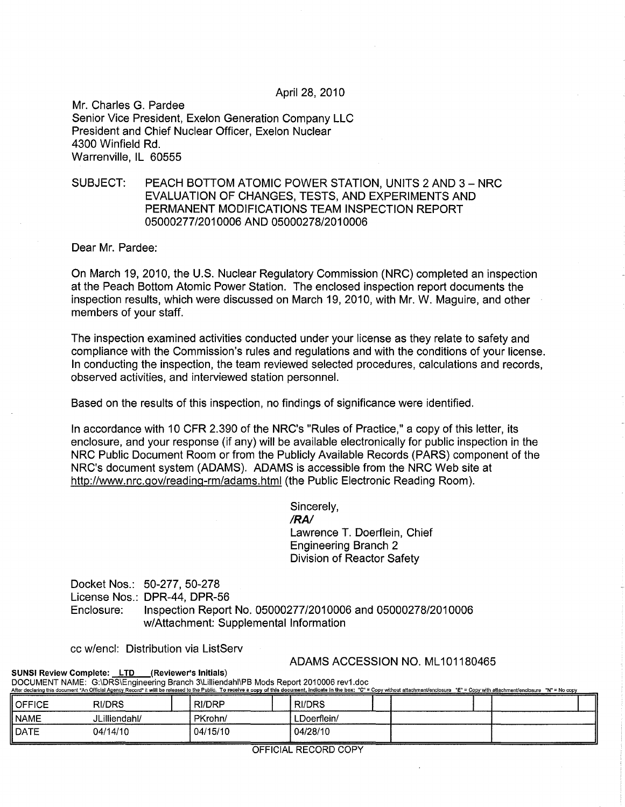### April 28, 2010

Mr. Charles G. Pardee Senior Vice President, Exelon Generation Company LLC President and Chief Nuclear Officer, Exelon Nuclear 4300 Winfield Rd. Warrenville, IL 60555

# SUBJECT: PEACH BOTTOM ATOMIC POWER STATION, UNITS 2 AND 3 - NRC EVALUATION OF CHANGES, TESTS, AND EXPERIMENTS AND PERMANENT MODIFICATIONS TEAM INSPECTION REPORT 05000277/2010006 AND 05000278/2010006

Dear Mr. Pardee:

On March 19, 2010, the U.S. Nuclear Regulatory Commission (NRC) completed an inspection at the Peach Bottom Atomic Power Station. The enclosed inspection report documents the inspection results, which were discussed on March 19,2010, with Mr. W. Maguire, and other members of your staff.

The inspection examined activities conducted under your license as they relate to safety and compliance with the Commission's rules and regulations and with the conditions of your license. In conducting the inspection, the team reviewed selected procedures, calculations and records, observed activities, and interviewed station personnel.

Based on the results of this inspection, no findings of significance were identified.

In accordance with 10 CFR 2.390 of the NRC's "Rules of Practice," a copy of this letter, its enclosure, and your response (if any) will be available electronically for public inspection in the NRC Public Document Room or from the Publicly Available Records (PARS) component of the NRC's document system (ADAMS). ADAMS is accessible from the NRC Web site at http://www.nrc.gov/reading-rm/adams.html(the Public Electronic Reading Room).

> Sincerely, *IRA!*  Lawrence T. Doerflein, Chief Engineering Branch 2 Division of Reactor Safety

Docket Nos.: 50-277, 50-278 License Nos.: DPR-44, DPR-56 Enclosure: Inspection Report No. 05000277/2010006 and 05000278/2010006 w/Attachment: Supplemental Information

cc w/encl: Distribution via ListServ

### ADAMS ACCESSION NO. ML 101180465

SUNSI Review Complete: LTD (Reviewer's Initials) DOCUMENT NAME: G:\DRS\Engineering Branch 3\Lilliendahl\PB Mods Report 2010006 rev1.doc

|           |               |          | ARE GECRITING INSIDENTIAL AND DISCUSSIVE THE RECORD IT WILD BE BIBBBBG TO THE PUBLIC. TO TUCHIVE A CODY OF THIS GOCUMBRIT, INGICATE IN THE DOX: C - CODY WILDUIT BILACHMENCESURE C - CODY WILD BILACHMENCESURE IN = NO CODY |  |  |
|-----------|---------------|----------|-----------------------------------------------------------------------------------------------------------------------------------------------------------------------------------------------------------------------------|--|--|
| II OFFICE | RI/DRS        | RI/DRP   | <b>RI/DRS</b>                                                                                                                                                                                                               |  |  |
| II NAME   | JLilliendahl/ | PKrohn/  | ∟Doerflein/                                                                                                                                                                                                                 |  |  |
| II DATE   | 04/14/10      | 04/15/10 | 04/28/10                                                                                                                                                                                                                    |  |  |

OFFICIAL RECORD COpy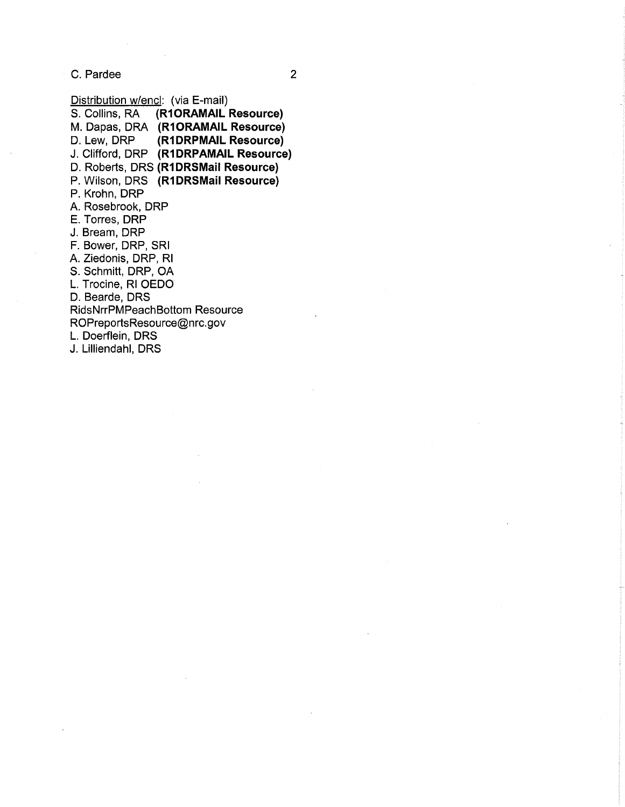C. Pardee 2

Distribution w/encl: (via E-mail)<br>S. Collins, RA (R1ORAMAIL) S. Collins, RA **(R10RAMAIL Resource)**  M. Dapas, ORA **(R10RAMAIL Resource) (R1DRPMAIL Resource)** J. Clifford, DRP **(R1DRPAMAIL Resource)**  D. Roberts, DRS **(R1DRSMail Resource)**  P. Wilson, DRS **(R1DRSMail Resource)**  P. Krohn, DRP A. Rosebrook, DRP E. Torres, DRP J. Bream, DRP F. Bower, DRP, SRI A. Ziedonis, DRP, RI S. Schmitt, DRP, OA L. Trocine, RI OEDO D. Bearde, DRS RidsNrrPMPeachBottom Resource ROPreportsResource@nrc.gov L. Doerflein, DRS

J. Lilliendahl, DRS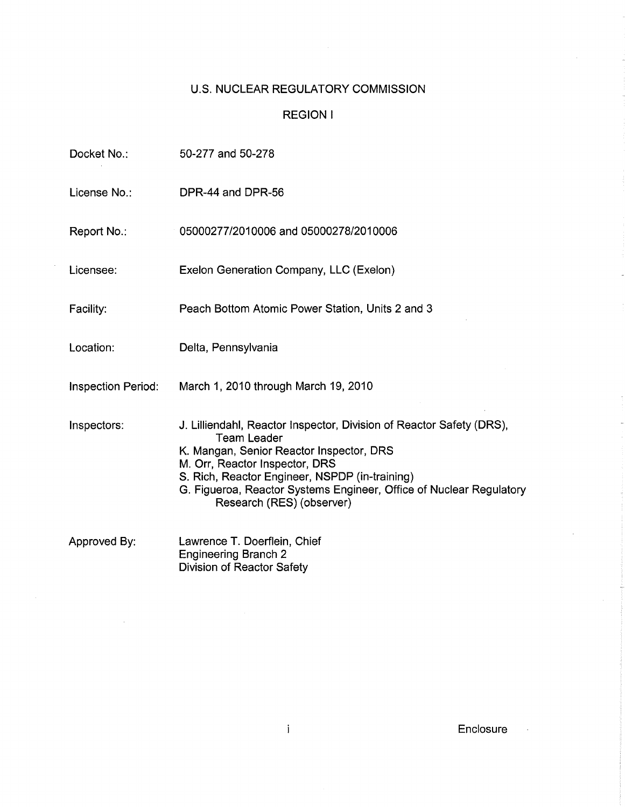# u.s. NUCLEAR REGULATORY COMMISSION

# REGION I

| Docket No.:               | 50-277 and 50-278                                                                                                                                                                                                                                                                                                              |
|---------------------------|--------------------------------------------------------------------------------------------------------------------------------------------------------------------------------------------------------------------------------------------------------------------------------------------------------------------------------|
| License No.:              | DPR-44 and DPR-56                                                                                                                                                                                                                                                                                                              |
| Report No.:               | 05000277/2010006 and 05000278/2010006                                                                                                                                                                                                                                                                                          |
| Licensee:                 | Exelon Generation Company, LLC (Exelon)                                                                                                                                                                                                                                                                                        |
| Facility:                 | Peach Bottom Atomic Power Station, Units 2 and 3                                                                                                                                                                                                                                                                               |
| Location:                 | Delta, Pennsylvania                                                                                                                                                                                                                                                                                                            |
| <b>Inspection Period:</b> | March 1, 2010 through March 19, 2010                                                                                                                                                                                                                                                                                           |
| Inspectors:               | J. Lilliendahl, Reactor Inspector, Division of Reactor Safety (DRS),<br><b>Team Leader</b><br>K. Mangan, Senior Reactor Inspector, DRS<br>M. Orr, Reactor Inspector, DRS<br>S. Rich, Reactor Engineer, NSPDP (in-training)<br>G. Figueroa, Reactor Systems Engineer, Office of Nuclear Regulatory<br>Research (RES) (observer) |
| Approved By:              | Lawrence T. Doerflein, Chief<br><b>Engineering Branch 2</b><br><b>Division of Reactor Safety</b>                                                                                                                                                                                                                               |

 $\sim$   $\sim$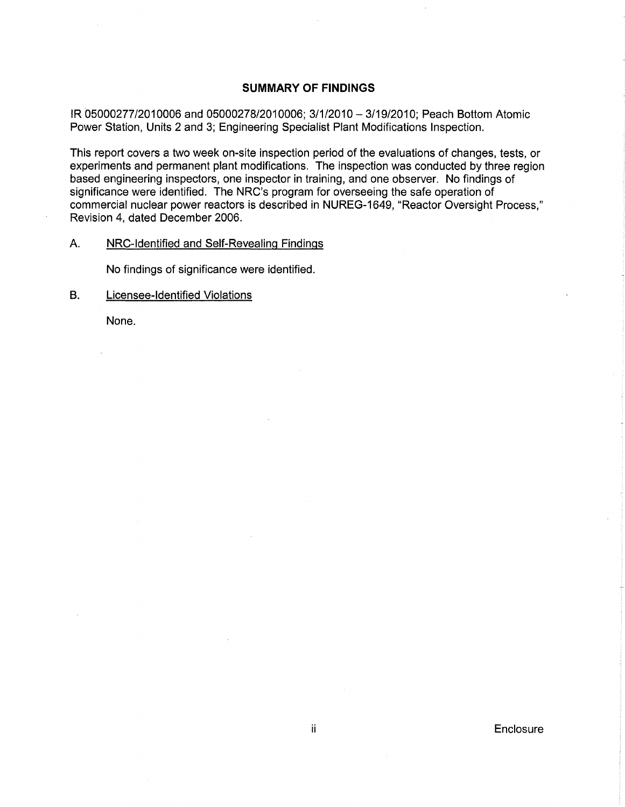# **SUMMARY OF FINDINGS**

IR 05000277/2010006 and 05000278/2010006; 3/1/2010 - 3/19/2010; Peach Bottom Atomic Power Station, Units 2 and 3; Engineering Specialist Plant Modifications Inspection.

This report covers a two week on-site inspection period of the evaluations of changes, tests, or experiments and permanent plant modifications. The inspection was conducted by three region based engineering inspectors, one inspector in training, and one observer. No findings of significance were identified. The NRC's program for overseeing the safe operation of commercial nuclear power reactors is described in NUREG-1649, "Reactor Oversight Process," Revision 4, dated December 2006.

# A. NRC-Identified and Self-Revealing Findings

No findings of significance were identified.

B. Licensee-Identified Violations

None.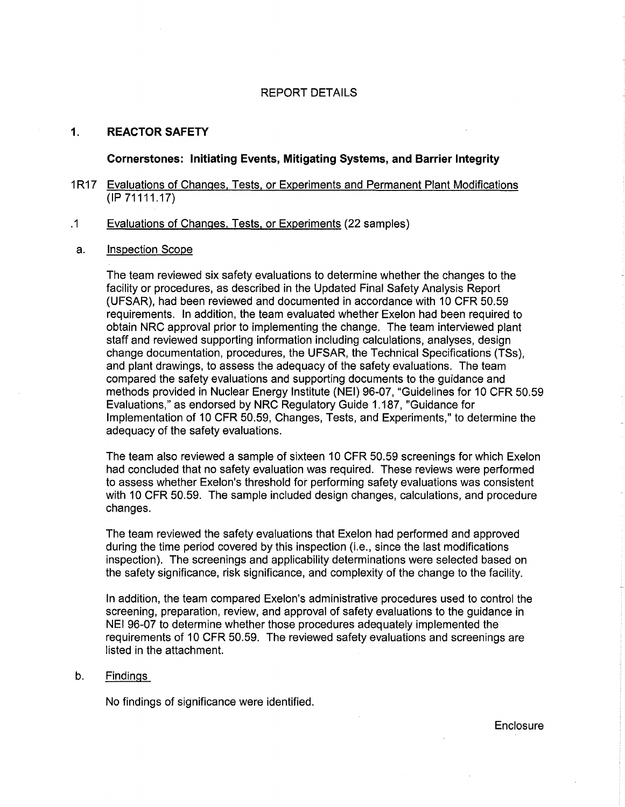### REPORT DETAILS

# 1. REACTOR SAFETY

Cornerstones: Initiating Events, Mitigating Systems, and Barrier Integrity

# 1 R17 Evaluations of Changes, Tests, or Experiments and Permanent Plant Modifications (IP71111.17)

#### .1 Evaluations of Changes, Tests, or Experiments (22 samples)

### a. Inspection Scope

The team reviewed six safety evaluations to determine whether the changes to the facility or procedures, as described in the Updated Final Safety Analysis Report (UFSAR), had been reviewed and documented in accordance with 10 CFR 50.59 requirements. In addition, the team evaluated whether Exelon had been required to obtain NRC approval prior to implementing the change. The team interviewed plant staff and reviewed supporting information including calculations, analyses, design change documentation, procedures, the UFSAR, the Technical Specifications (TSs), and plant drawings, to assess the adequacy of the safety evaluations. The team compared the safety evaluations and supporting documents to the guidance and methods provided in Nuclear Energy Institute (NEI) 96-07, "Guidelines for 10 CFR 50.59 Evaluations," as endorsed by NRC Regulatory Guide 1.187, "Guidance for Implementation of 10 CFR 50.59, Changes, Tests, and Experiments," to determine the adequacy of the safety evaluations.

The team also reviewed a sample of sixteen 10 CFR 50.59 screenings for which Exelon had concluded that no safety evaluation was required. These reviews were performed to assess whether Exelon's threshold for performing safety evaluations was consistent with 10 CFR 50.59. The sample included design changes, calculations, and procedure changes.

The team reviewed the safety evaluations that Exelon had performed and approved during the time period covered by this inspection (i.e., since the last modifications inspection). The screenings and applicability determinations were selected based on the safety significance, risk significance, and complexity of the change to the facility.

In addition, the team compared Exelon's administrative procedures used to control the screening, preparation, review, and approval of safety evaluations to the guidance in NEI 96-07 to determine whether those procedures adequately implemented the requirements of 10 CFR 50.59. The reviewed safety evaluations and screenings are listed in the attachment.

#### b. Findings

No findings of significance were identified.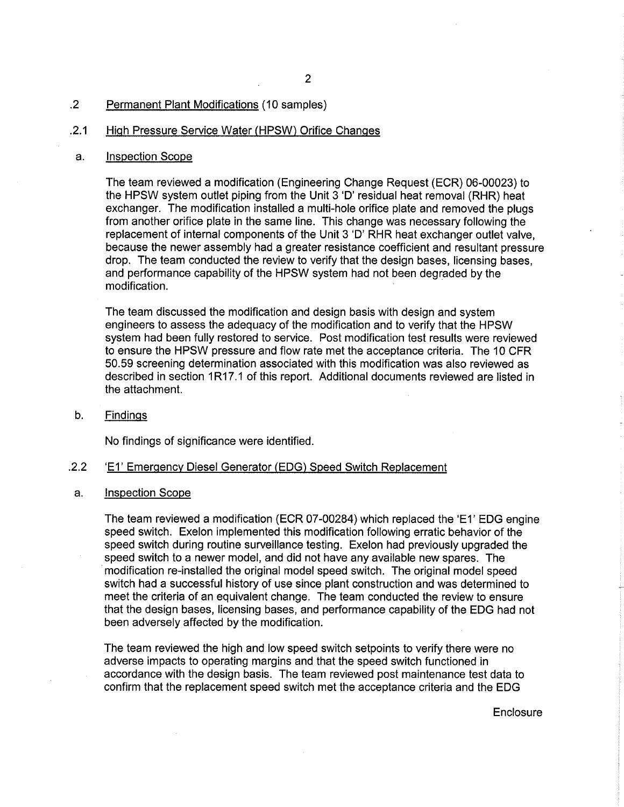# .2 Permanent Plant Modifications (10 samples)

# .2.1 High Pressure Service Water (HPSW) Orifice Changes

### a. Inspection Scope

The team reviewed a modification (Engineering Change Request (ECR) 06-00023) to the HPSW system outlet piping from the Unit 3 'D' residual heat removal (RHR) heat exchanger. The modification installed a multi-hole orifice plate and removed the plugs from another orifice plate in the same line. This change was necessary following the replacement of internal components of the Unit 3 '0' RHR heat exchanger outlet valve, because the newer assembly had a greater resistance coefficient and resultant pressure drop. The team conducted the review to verify that the design bases, licensing bases, and performance capability of the HPSW system had not been degraded by the modification.

The team discussed the modification and design basis with design and system engineers to assess the adequacy of the modification and to verify that the HPSW system had been fully restored to service. Post modification test results were reviewed to ensure the HPSW pressure and flow rate met the acceptance criteria. The 10 CFR 50.59 screening determination associated with this modification was also reviewed as described in section 1R17.1 of this report. Additional documents reviewed are listed in the attachment.

b. Findings

No findings of significance were identified .

### .2.2 'E1' Emergency Diesel Generator (EDG) Speed Switch Replacement

#### a. Inspection Scope

The team reviewed a modification (ECR 07-00284) which replaced the 'E1' EDG engine speed switch. Exelon implemented this modification following erratic behavior of the speed switch during routine surveillance testing. Exelon had previously upgraded the speed switch to a newer model, and did not have any available new spares. The modification re-installed the original model speed switch. The original model speed switch had a successful history of use since plant construction and was determined to meet the criteria of an equivalent change. The team conducted the review to ensure that the design bases, licensing bases, and performance capability of the EDG had not been adversely affected by the modification.

The team reviewed the high and low speed switch setpoints to verify there were no adverse impacts to operating margins and that the speed switch functioned in accordance with the design basis. The team reviewed post maintenance test data to confirm that the replacement speed switch met the acceptance criteria and the EDG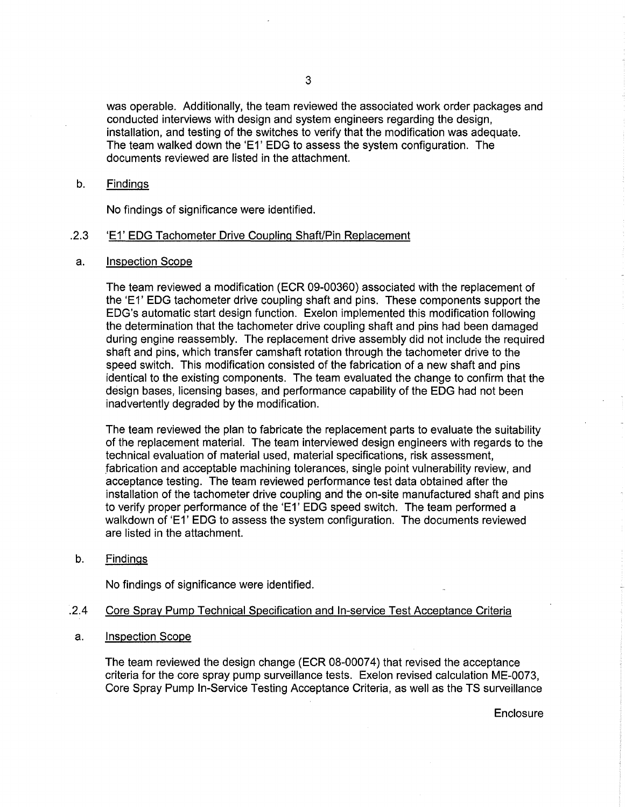was operable. Additionally, the team reviewed the associated work order packages and conducted interviews with design and system engineers regarding the design, installation, and testing of the switches to verify that the modification was adequate. The team walked down the 'E1' EDG to assess the system configuration. The documents reviewed are listed in the attachment.

### b. Findings

No findings of significance were identified .

### . 2.3 'E1' EDG Tachometer Drive Coupling Shaft/Pin Replacement

a. Inspection Scope

The team reviewed a modification (ECR 09-00360) associated with the replacement of the 'E1' EDG tachometer drive coupling shaft and pins. These components support the EDG's automatic start design function. Exelon implemented this modification following the determination that the tachometer drive coupling shaft and pins had been damaged during engine reassembly. The replacement drive assembly did not include the required shaft and pins, which transfer camshaft rotation through the tachometer drive to the speed switch. This modification consisted of the fabrication of a new shaft and pins identical to the existing components. The team evaluated the change to confirm that the design bases, licensing bases, and performance capability of the EDG had not been inadvertently degraded by the modification.

The team reviewed the plan to fabricate the replacement parts to evaluate the suitability of the replacement material. The team interviewed design engineers with regards to the technical evaluation of material used, material specifications, risk assessment, .fabrication and acceptable machining tolerances, single point vulnerability review, and acceptance testing. The team reviewed performance test data obtained after the installation of the tachometer drive coupling and the on-site manufactured shaft and pins to verify proper performance of the 'E1' EDG speed switch. The team performed a walkdown of 'E1' EDG to assess the system configuration. The documents reviewed are listed in the attachment.

b. Findings

No findings of significance were identified .

### . 2.4 Core Spray Pump Technical Specification and In-service Test Acceptance Criteria

a. Inspection Scope

The team reviewed the design change (ECR 08-00074) that revised the acceptance criteria for the core spray pump surveillance tests. Exelon revised calculation ME-0073, Core Spray Pump In-Service Testing Acceptance Criteria, as well as the TS surveillance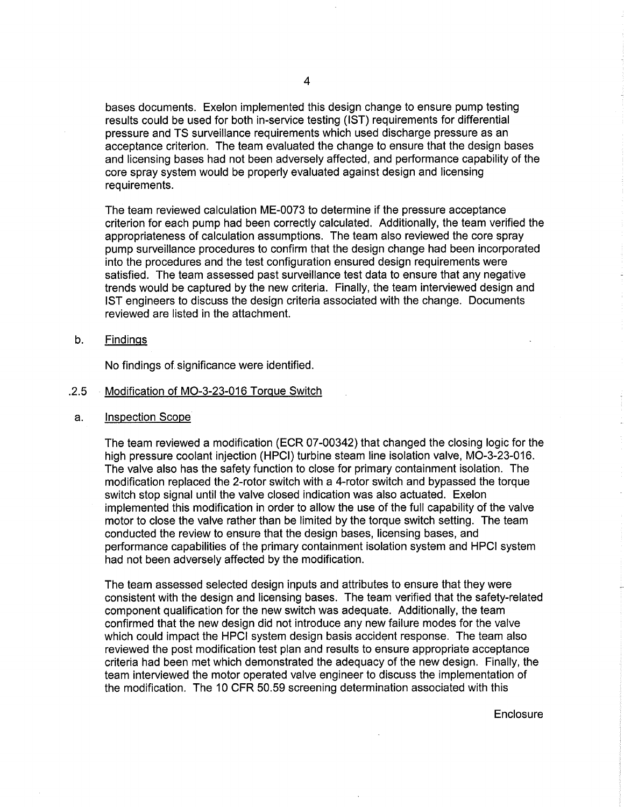bases documents. Exelon implemented this design change to ensure pump testing results could be used for both in-service testing (1ST) requirements for differential pressure and TS surveillance requirements which used discharge pressure as an acceptance criterion. The team evaluated the change to ensure that the design bases and licensing bases had not been adversely affected, and performance capability of the core spray system would be properly evaluated against design and licensing requirements.

The team reviewed calculation ME-0073 to determine if the pressure acceptance criterion for each pump had been correctly calculated. Additionally, the team verified the appropriateness of calculation assumptions. The team also reviewed the core spray pump surveillance procedures to confirm that the design change had been incorporated into the procedures and the test configuration ensured design requirements were satisfied. The team assessed past surveillance test data to ensure that any negative trends would be captured by the new criteria. Finally, the team interviewed design and 1ST engineers to discuss the design criteria associated with the change. Documents reviewed are listed in the attachment.

b. Findings

No findings of significance were identified .

- . 2.5 Modification of MO-3-23-016 Torque Switch
- a. Inspection Scope

The team reviewed a modification (ECR 07-00342) that changed the closing logic for the high pressure coolant injection (HPCI) turbine steam line isolation valve, MO-3-23-016. The valve also has the safety function to close for primary containment isolation. The modification replaced the 2-rotor switch with a 4-rotor switch and bypassed the torque switch stop signal until the valve closed indication was also actuated. Exelon implemented this modification in order to allow the use of the full capability of the valve motor to close the valve rather than be limited by the torque switch setting. The team conducted the review to ensure that the design bases, licensing bases, and performance capabilities of the primary containment isolation system and HPCI system had not been adversely affected by the modification.

The team assessed selected design inputs and attributes to ensure that they were consistent with the design and licensing bases. The team verified that the safety-related component qualification for the new switch was adequate. Additionally, the team confirmed that the new design did not introduce any new failure modes for the valve which could impact the HPCI system design basis accident response. The team also reviewed the post modification test plan and results to ensure appropriate acceptance criteria had been met which demonstrated the adequacy of the new design. Finally, the team interviewed the motor operated valve engineer to discuss the implementation of the modification. The 10 CFR 50.59 screening determination associated with this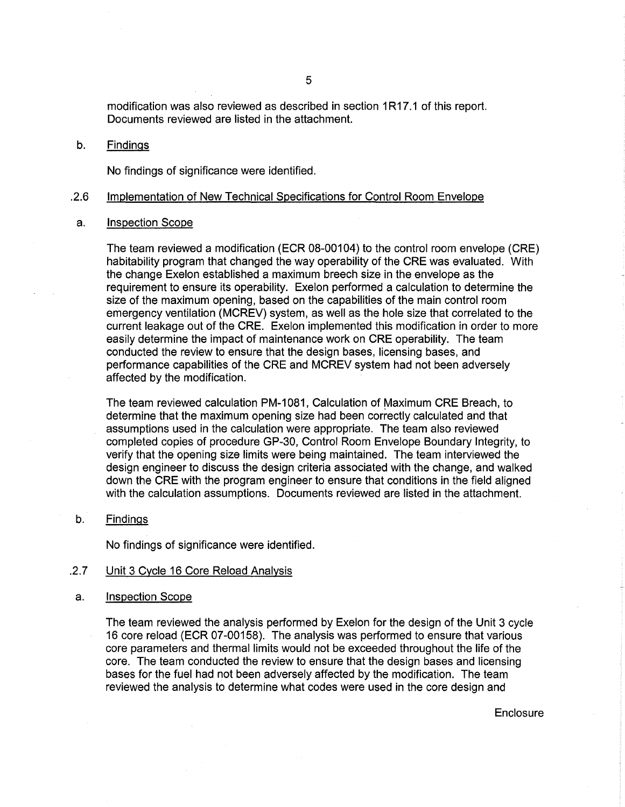modification was also reviewed as described in section 1R17.1 of this report. Documents reviewed are listed in the attachment.

#### b. Findings

No findings of significance were identified .

#### . 2.6 Implementation of New Technical Specifications for Control Room Envelope

### a. Inspection Scope

The team reviewed a modification (ECR 08-00104) to the control room envelope (CRE) habitability program that changed the way operability of the CRE was evaluated. With the change Exelon established a maximum breech size in the envelope as the requirement to ensure its operability. Exelon performed a calculation to determine the size of the maximum opening, based on the capabilities of the main control room emergency ventilation (MCREV) system, as well as the hole size that correlated to the current leakage out of the CRE. Exelon implemented this modification in order to more easily determine the impact of maintenance work on CRE operability. The team conducted the review to ensure that the design bases, licensing bases, and performance capabilities of the CRE and MCREV system had not been adversely affected by the modification.

The team reviewed calculation PM-1081, Calculation of Maximum CRE Breach, to determine that the maximum opening size had been correctly calculated and that assumptions used in the calculation were appropriate. The team also reviewed completed copies of procedure GP-30, Control Room Envelope Boundary Integrity, to verify that the opening size limits were being maintained. The team interviewed the design engineer to discuss the design criteria associated with the change, and walked down the CRE with the program engineer to ensure that conditions in the field aligned with the calculation assumptions. Documents reviewed are listed in the attachment.

### b. Findings

No findings of significance were identified .

## . 2.7 Unit 3 Cycle 16 Core Reload Analysis

#### a. Inspection Scope

The team reviewed the analysis performed by Exelon for the design of the Unit 3 cycle 16 core reload (ECR 07-00158). The analysis was performed to ensure that various core parameters and thermal limits would not be exceeded throughout the life of the core. The team conducted the review to ensure that the design bases and licensing bases for the fuel had not been adversely affected by the modification. The team reviewed the analysis to determine what codes were used in the core design and

5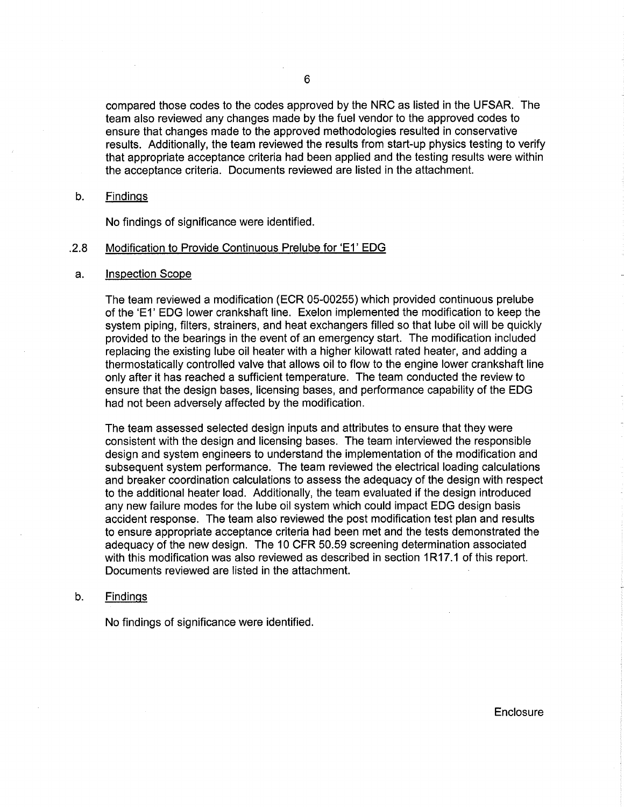compared those codes to the codes approved by the NRC as listed in the UFSAR. The team also reviewed any changes made by the fuel vendor to the approved codes to ensure that changes made to the approved methodologies resulted in conservative results. Additionally, the team reviewed the results from start-up physics testing to verify that appropriate acceptance criteria had been applied and the testing results were within the acceptance criteria. Documents reviewed are listed in the attachment.

### b. Findings

No findings of significance were identified.

### . 2.8 Modification to Provide Continuous Prelube for 'E1' EDG

#### a. Inspection Scope

The team reviewed a modification (ECR 05-00255) which provided continuous prelube of the 'E1' EDG lower crankshaft line. Exelon implemented the modification to keep the system piping, filters, strainers, and heat exchangers filled so that lube oil will be quickly provided to the bearings in the event of an emergency start. The modification included replacing the existing lube oil heater with a higher kilowatt rated heater, and adding a thermostatically controlled valve that allows oil to flow to the engine lower crankshaft line only after it has reached a sufficient temperature. The team conducted the review to ensure that the design bases, licensing bases, and performance capability of the EDG had not been adversely affected by the modification.

The team assessed selected design inputs and attributes to ensure that they were consistent with the design and licensing bases. The team interviewed the responsible design and system engineers to understand the implementation of the modification and subsequent system performance. The team reviewed the electrical loading calculations and breaker coordination calculations to assess the adequacy of the design with respect to the additional heater load. Additionally, the team evaluated if the design introduced any new failure modes for the lube oil system which could impact EDG design basis accident response. The team also reviewed the post modification test plan and results to ensure appropriate acceptance criteria had been met and the tests demonstrated the adequacy of the new design. The 10 CFR 50.59 screening determination associated with this modification was also reviewed as described in section 1R17.1 of this report. Documents reviewed are listed in the attachment.

### b. Findings

No findings of significance were identified.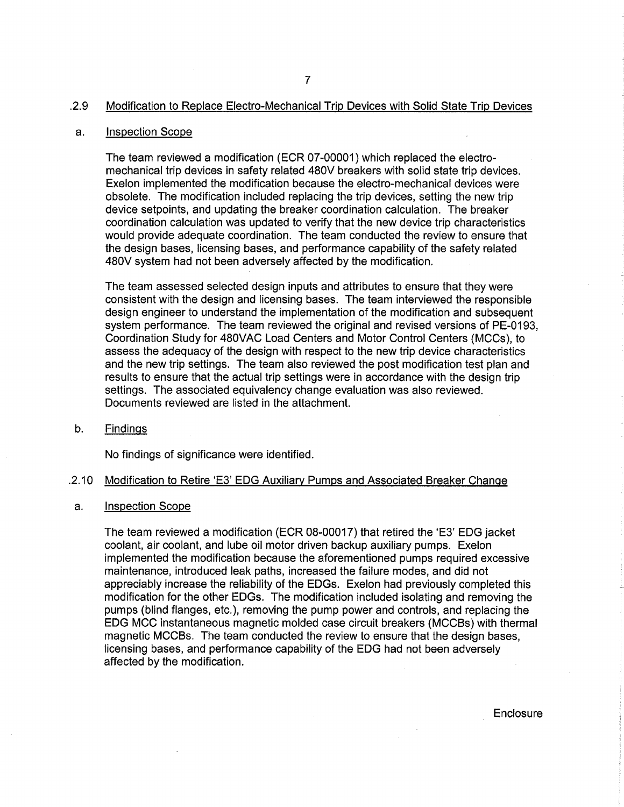### .2.9 Modification to Replace Electro-Mechanical Trip Devices with Solid State Trip Devices

#### a. Inspection Scope

The team reviewed a modification (ECR 07-00001) which replaced the electromechanical trip devices in safety related 480V breakers with solid state trip devices. Exelon implemented the modification because the electro-mechanical devices were obsolete. The modification included replacing the trip devices, setting the new trip device setpoints, and updating the breaker coordination calculation. The breaker coordination calculation was updated to verify that the new device trip characteristics would provide adequate coordination. The team conducted the review to ensure that the design bases, licensing bases, and performance capability of the safety related 480V system had not been adversely affected by the modification.

The team assessed selected design inputs and attributes to ensure that they were consistent with the design and licensing bases. The team interviewed the responsible design engineer to understand the implementation of the modification and subsequent system performance. The team reviewed the original and revised versions of PE-0193, Coordination Study for 480VAC Load Centers and Motor Control Centers (MCCs), to assess the adequacy of the design with respect to the new trip device characteristics and the new trip settings. The team also reviewed the post modification test plan and results to ensure that the actual trip settings were in accordance with the design trip settings. The associated equivalency change evaluation was also reviewed. Documents reviewed are listed in the attachment.

b. Findings

No findings of significance were identified .

#### . 2.10 Modification to Retire 'E3' EDG Auxiliary Pumps and Associated Breaker Change

a. Inspection Scope

The team reviewed a modification (ECR 08-00017) that retired the 'E3' EDG jacket coolant, air coolant, and lube oil motor driven backup auxiliary pumps. Exelon implemented the modification because the aforementioned pumps required excessive maintenance, introduced leak paths, increased the failure modes, and did not appreciably increase the reliability of the EDGs. Exelon had previously completed this modification for the other EDGs. The modification included isolating and removing the pumps (blind flanges, etc.), removing the pump power and controls, and replacing the EDG MCC instantaneous magnetic molded case circuit breakers (MCCBs) with thermal magnetic MCCBs. The team conducted the review to ensure that the design bases, licensing bases, and performance capability of the EDG had not been adversely affected by the modification. .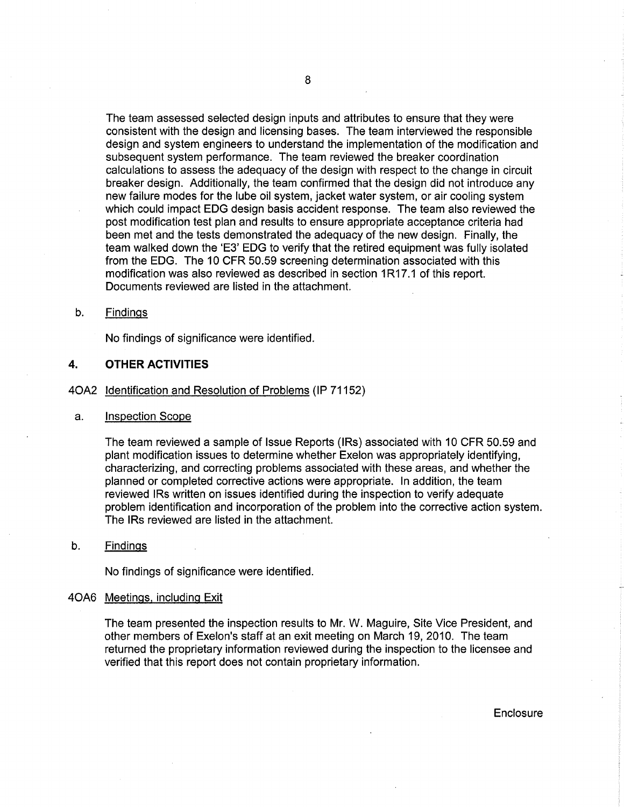The team assessed selected design inputs and attributes to ensure that they were consistent with the design and licensing bases. The team interviewed the responsible design and system engineers to understand the implementation of the modification and subsequent system performance. The team reviewed the breaker coordination calculations to assess the adequacy of the design with respect to the change in circuit breaker design. Additionally, the team confirmed that the design did not introduce any new failure modes for the lube oil system, jacket water system, or air cooling system which could impact EDG design basis accident response. The team also reviewed the post modification test plan and results to ensure appropriate acceptance criteria had been met and the tests demonstrated the adequacy of the new design. Finally, the team walked down the 'E3' EDG to verify that the retired equipment was fully isolated from the EDG. The 10 CFR 50.59 screening determination associated with this modification was also reviewed as described in section 1R17.1 of this report. Documents reviewed are listed in the attachment.

#### b. Findings

No findings of significance were identified.

### **4. OTHER ACTIVITIES**

40A2 Identification and Resolution of Problems (IP 71152)

#### a. Inspection Scope

The team reviewed a sample of Issue Reports (IRs) associated with 10 CFR 50.59 and plant modification issues to determine whether Exelon was appropriately identifying, characterizing, and correcting problems associated with these areas, and whether the planned or completed corrective actions were appropriate. In addition, the team reviewed IRs written on issues identified during the inspection to verify adequate problem identification and incorporation of the problem into the corrective action system. The IRs reviewed are listed in the attachment.

#### b. Findings

No findings of significance were identified.

#### 40A6 Meetings. including Exit

The team presented the inspection results to Mr. W. Maguire, Site Vice President, and other members of Exelon's staff at an exit meeting on March 19,2010. The team returned the proprietary information reviewed during the inspection to the licensee and verified that this report does not contain proprietary information.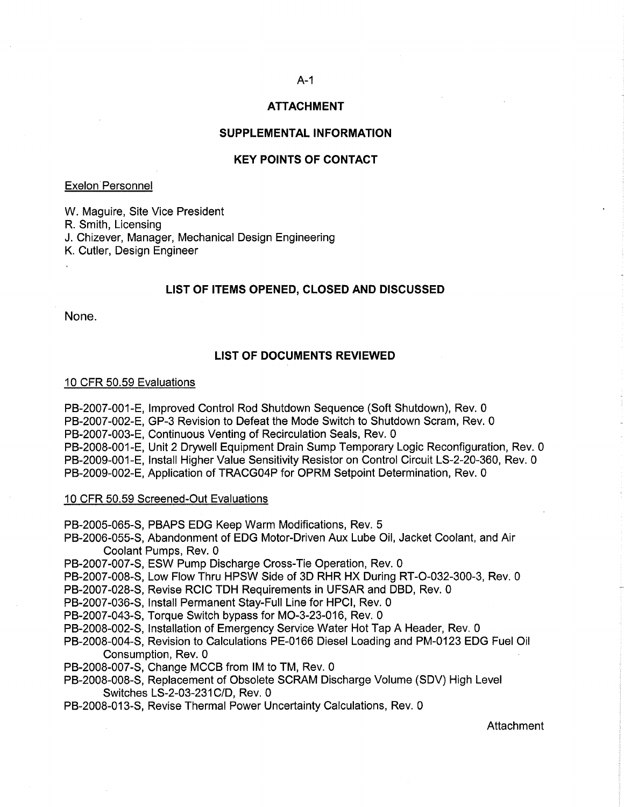# **ATTACHMENT**

### **SUPPLEMENTAL INFORMATION**

### **KEY POINTS OF CONTACT**

### Exelon' Personnel

W. Maguire, Site Vice President R. Smith, Licensing J. Chizever, Manager, Mechanical Design Engineering K. Cutler, Design Engineer

### **LIST OF ITEMS OPENED, CLOSED AND DISCUSSED**

None.

### **LIST OF DOCUMENTS REVIEWED**

#### 10 CFR 50.59 Evaluations

PB-2007-001-E, Improved Control Rod Shutdown Sequence (Soft Shutdown), Rev. 0 PB-2007-002-E, GP-3 Revision to Defeat the Mode Switch to Shutdown Scram, Rev. 0 PB-2007 -003-E, Continuous Venting of Recirculation Seals, Rev. 0 PB-2008-001-E, Unit 2 Drywell Equipment Drain Sump Temporary Logic Reconfiguration, Rev. 0 PB-2009-001-E, Install Higher Value Sensitivity Resistor on Control Circuit LS-2-20-360, Rev. 0 PB-2009-002-E, Application of TRACG04P for OPRM Setpoint Determination, Rev. 0

#### 10 CFR 50.59 Screened-Out Evaluations

PB-2005-065-S, PBAPS EDG Keep Warm Modifications, Rev. 5

- PB-2006-055-S, Abandonment of EDG Motor-Driven Aux Lube Oil, Jacket Coolant, and Air Coolant Pumps, Rev. 0
- PB-2007-007-S, ESW Pump Discharge Cross-Tie Operation, Rev. 0
- PB-2007-008-S, Low Flow Thru HPSW Side of 3D RHR HX During RT-O-032-300-3, Rev. 0
- PB-2007-028-S, Revise RCIC TDH Requirements in UFSAR and DBD, Rev. 0
- PB-2007-036-S, Install Permanent Stay-Full Line for HPCI, Rev. 0
- PB-2007-043-S, Torque Switch bypass for MO-3-23-016, Rev. 0
- PB-2008-002-S, Installation of Emergency Service Water Hot Tap A Header, Rev. 0
- PB-2008-004-S, Revision to Calculations PE-0166 Diesel Loading and PM-0123 EDG Fuel Oil Consumption, Rev. 0
- PB-2008-007-S, Change MCCB from IM to TM, Rev. 0
- PB-2008-008-S, Replacement of Obsolete SCRAM Discharge Volume (SDV) High Level Switches LS-2-03-231 C/D, Rev. 0
- PB-2008-013-S, Revise Thermal Power Uncertainty Calculations, Rev. 0

**Attachment**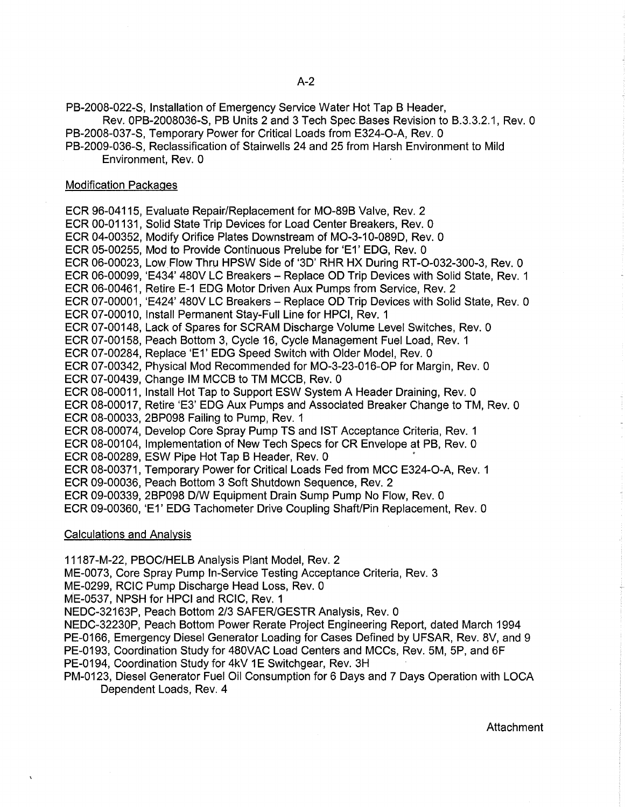PB-2008-022-S, Installation of Emergency Service Water Hot Tap B Header,

Rev. OPB-2008036-S, PB Units 2 and 3 Tech Spec. Bases Revision to B.3.3.2.1, Rev. 0

- PB-2008-037-S, Temporary Power for Critical Loads from E324-0-A, Rev. 0
- PB-2009-036-S, Reclassification of Stairwells 24 and 25 from Harsh Environment to Mild Environment, Rev. 0

### Modification Packages

ECR 96-04115, Evaluate Repair/Replacement for MO-89B Valve, Rev. 2 ECR 00-01131, Solid State Trip Devices for Load Center Breakers, Rev. 0 ECR 04-00352, Modify Orifice Plates Downstream of MO-3-10-089D, Rev. 0 ECR 05-00255, Mod to Provide Continuous Prelube for 'E1' EDG, Rev. 0 ECR 06-00023, Low Flow Thru HPSW Side of '3D' RHR HX During RT-0-032-300-3, Rev. 0 ECR 06-00099, 'E434' 480V LC Breakers - Replace OD Trip Devices with Solid State, Rev. 1 ECR 06-00461, Retire E-1 EDG Motor Driven Aux Pumps from Service, Rev. 2 ECR 07-00001, 'E424' 480V LC Breakers - Replace OD Trip Devices with Solid State, Rev. 0 ECR 07-00010, Install Permanent Stay-Full Line for HPCI, Rev. 1 ECR 07-00148, Lack of Spares for SCRAM Discharge Volume Level Switches, Rev. 0 ECR 07-00158, Peach Bottom 3, Cycle 16, Cycle Management Fuel Load, Rev. 1 ECR 07-00284, Replace 'E1' EDG Speed Switch with Older Model, Rev. 0 ECR 07-00342, Physical Mod Recommended for MO-3-23-016-0P for Margin, Rev. 0 ECR 07-00439, Change 1M MCCB to TM MCCB, Rev. 0 ECR 08-00011, Install Hot Tap to Support ESW System A Header Draining, Rev. 0 ECR 08-00017, Retire 'E3' EDG Aux Pumps and Associated Breaker Change to TM, Rev. 0 ECR 08-00033, 2BP098 Failing to Pump, Rev. 1 ECR 08-00074, Develop Core Spray Pump TS and 1ST Acceptance Criteria, Rev. 1 ECR 08-00104, Implementation of New Tech Specs for CR Envelope at PB, Rev. 0 ECR 08-00289, ESW Pipe Hot Tap B Header, Rev. 0 ECR 08-00371, Temporary Power for Critical Loads Fed from MCC E324-0-A, Rev. 1 ECR 09-00036, Peach Bottom 3 Soft Shutdown Sequence, Rev. 2 ECR 09-00339, 2BP098 DIW Equipment Drain Sump Pump No Flow, Rev. 0 ECR 09-00360, 'E1' EDG Tachometer Drive Coupling Shaft/Pin Replacement, Rev. 0

Calculations and Analysis

11187-M-22, PBOC/HELB Analysis Plant Model, Rev. 2

ME-0073, Core Spray Pump In-Service Testing Acceptance Criteria, Rev. 3

ME-0299, RCIC Pump Discharge Head Loss, Rev. 0

ME-0537, NPSH for HPCI and RCIC, Rev. 1

NEDC-32163P, Peach Bottom 2/3 SAFERIGESTR Analysis, Rev. 0

NEDC-32230P, Peach Bottom Power Rerate Project Engineering Report, dated March 1994 PE-0166, Emergency Diesel Generator Loading for Cases Defined by UFSAR, Rev. 8V, and 9 PE-0193, Coordination Study for 480VAC Load Centers and MCCs, Rev. 5M, 5P, and 6F PE-0194, Coordination Study for 4kV 1E Switchgear, Rev. 3H

PM-0123, Diesel Generator Fuel Oil Consumption for 6 Days and 7 Days Operation with LOCA Dependent Loads, Rev. 4

Attachment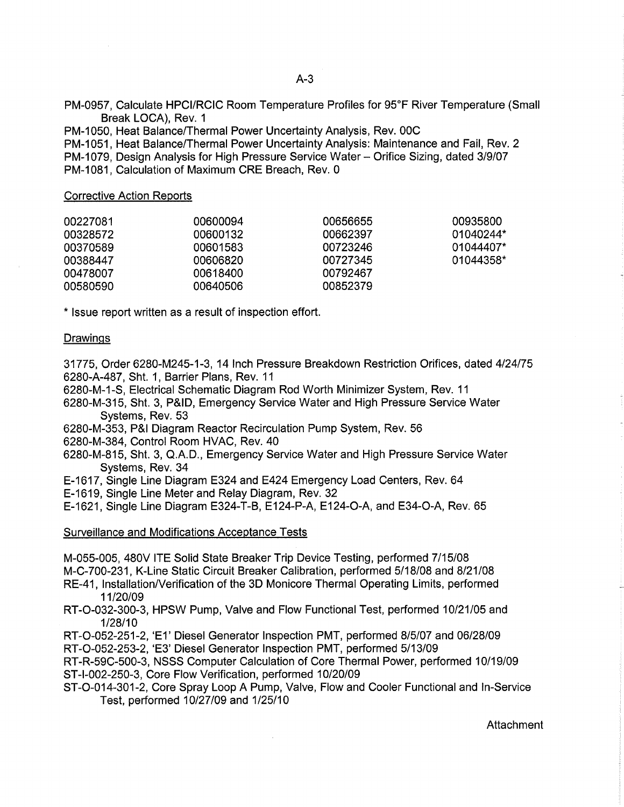PM-0957, Calculate HPCIIRCIC Room Temperature Profiles for 95°F River Temperature (Small Break LOCA), Rev. 1

PM-1050, Heat Balance/Thermal Power Uncertainty Analysis, Rev. 00C PM-1051, Heat Balance/Thermal Power Uncertainty Analysis: Maintenance and Fail, Rev. 2 PM-1079, Design Analysis for High Pressure Service Water - Orifice Sizing, dated 3/9/07 PM-1081, Calculation of Maximum CRE Breach, Rev. 0

Corrective Action Reports

| 00227081 | 00600094 | 00656655 | 00935800  |
|----------|----------|----------|-----------|
| 00328572 | 00600132 | 00662397 | 01040244* |
| 00370589 | 00601583 | 00723246 | 01044407* |
| 00388447 | 00606820 | 00727345 | 01044358* |
| 00478007 | 00618400 | 00792467 |           |
| 00580590 | 00640506 | 00852379 |           |

\* Issue report written as a result of inspection effort.

### Drawings

31775, Order 6280-M245-1-3, 14 Inch Pressure Breakdown Restriction Orifices, dated 4/24/75 6280-A-487, Sht. 1, Barrier Plans, Rev. 11

6280-M-1-S, Electrical Schematic Diagram Rod Worth Minimizer System, Rev. 11

6280-M-315, Sht. 3, P&ID, Emergency Service Water and High Pressure Service Water Systems, Rev. 53

- 6280-M-353, P&I Diagram Reactor Recirculation Pump System, Rev. 56
- 6280-M-384, Control Room HVAC, Rev. 40
- 6280-M-815, Sht. 3, Q.A.D., Emergency Service Water and High Pressure Service Water Systems, Rev. 34
- E-1617, Single Line Diagram E324 and E424 Emergency Load Centers, Rev. 64
- E-1619, Single Line Meter and Relay Diagram, Rev. 32
- E-1621, Single Line Diagram E324-T-B, E124-P-A, E124-0-A, and E34-0-A, Rev. 65

Surveillance and Modifications Acceptance Tests

M-055-005, 480V ITE Solid State Breaker Trip Device Testing, performed 7/15/08

M-C-700-231, K-Line Static Circuit Breaker Calibration, performed 5/18/08 and 8/21/08

RE-41, Installation/Verification of the 3D Monicore Thermal Operating Limits, performed 11/20109

RT-O-032-300-3, HPSW Pump, Valve and Flow Functional Test, performed 10/21/05 and 1/28/10

RT-O-052-251-2, 'E1' Diesel Generator Inspection PMT, performed 8/5/07 and 06128/09

RT-O-052-253-2, 'E3' Diesel Generator Inspection PMT, performed 5/13/09

RT-R-59C-500-3, NSSS Computer Calculation of Core Thermal Power, performed 10/19/09 ST-I-002-250-3, Core Flow Verification, performed 10/20/09

ST-O-014-301-2, Core Spray Loop A Pump, Valve, Flow and Cooler Functional and In-Service Test, performed 10/27109 and 1/25/10

**Attachment**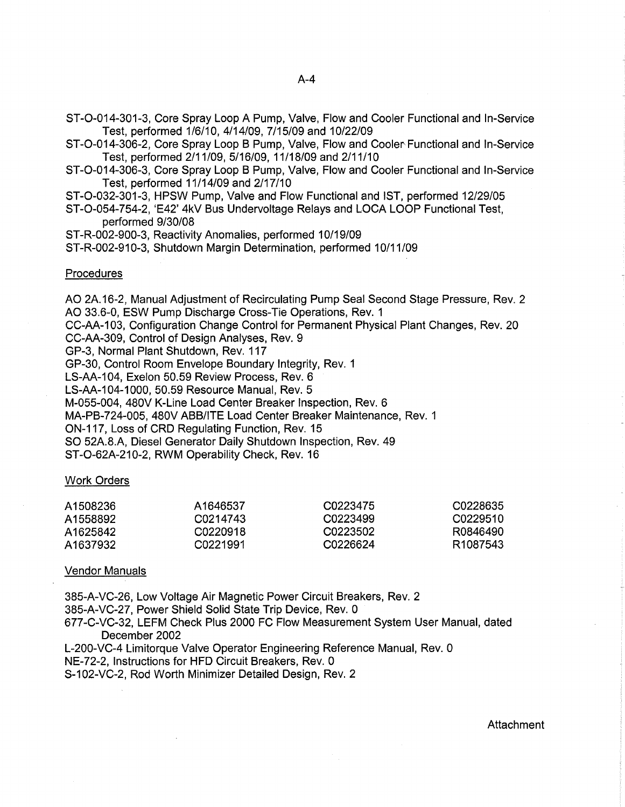- ST-0-014-301-3, Core Spray Loop A Pump, Valve, Flow and Cooler Functional and In-Service Test, performed 1/6/10,4/14/09,7/15/09 and 10/22/09
- ST-O-014-306-2, Core Spray Loop B Pump, Valve, Flow and Cooler Functional and In-Service Test, performed 2/11/09,5/16/09,11/18/09 and 2/11/10
- ST-O-014-306-3, Core Spray Loop B Pump, Valve, Flow and Cooler Functional and In-Service Test, performed 11/14/09 and 2/17/10
- ST-0-032-301-3, HPSW Pump, Valve and Flow Functional and 1ST, performed 12/29/05
- ST-0-054-754-2, 'E42' 4kV Bus Undervoltage Relays and LOCA LOOP Functional Test, performed 9/30/08
- ST-R-002-900-3, Reactivity Anomalies, performed 10/19/09

ST-R-002-910-3, Shutdown Margin Determination, performed 10/11/09

#### **Procedures**

AO 2A.16-2, Manual Adjustment of Recirculating Pump Seal Second Stage Pressure, Rev. 2 AO 33.6-0, ESW Pump Discharge Cross-Tie Operations, Rev. 1

CC-AA-103, Configuration Change Control for Permanent Physical Plant Changes, Rev. 20 CC-AA-309, Control of Design Analyses, Rev. 9

GP-3, Normal Plant Shutdown, Rev. 117

GP-30, Control Room Envelope Boundary Integrity, Rev. 1

LS-AA-104, Exelon 50.59 Review Process, Rev. 6

LS-AA-104-1000, 50.59 Resource Manual, Rev. 5

M-055-004, 480V K-Line Load Center Breaker Inspection, Rev. 6

MA-PB-724-005, 480V ABB/ITE Load Center Breaker Maintenance, Rev. 1

ON-117, Loss of CRD Regulating Function, Rev. 15

SO 52A.8.A, Diesel Generator Daily Shutdown Inspection, Rev. 49

ST-0-62A-210-2, RWM Operability Check, Rev. 16

### Work Orders

| A1508236 | A1646537 | C0223475 | C0228635             |
|----------|----------|----------|----------------------|
| A1558892 | C0214743 | C0223499 | C0229510             |
| A1625842 | C0220918 | C0223502 | R0846490             |
| A1637932 | C0221991 | C0226624 | R <sub>1087543</sub> |

### Vendor Manuals

385-A-VC-26, Low Voltage Air Magnetic Power Circuit Breakers, Rev. 2

385-A-VC-27, Power Shield Solid State Trip Device, Rev. 0

677-C-VC-32, LEFM Check Plus 2000 FC Flow Measurement System User Manual, dated December 2002

L-200-VC-4 Limitorque Valve Operator Engineering Reference Manual, Rev. 0

NE-72-2, Instructions for HFD Circuit Breakers, Rev. 0

S-102-VC-2, Rod Worth Minimizer Detailed Design, Rev. 2